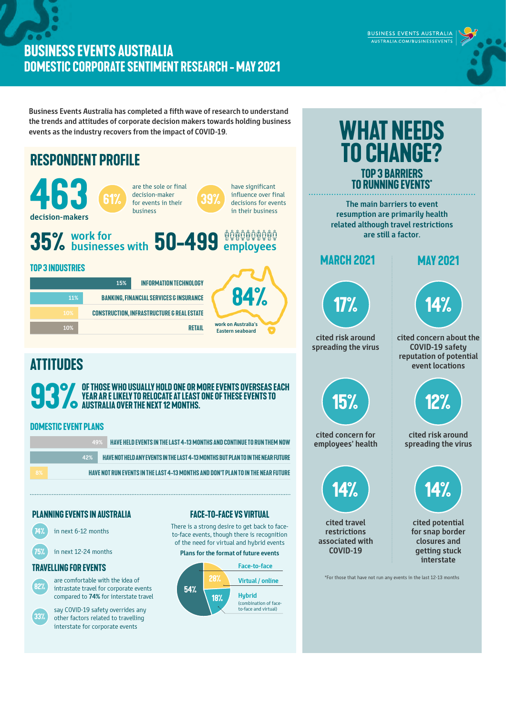## **BUSINESS EVENTS AUSTRALIA DOMESTIC CORPORATE SENTIMENT RESEARCH - MAY 2021**

BUSINESS EVENTS AUSTRALIA AUSTRALIA.COM/BUSINESSEVENTS

**Business Events Australia has completed a fifth wave of research to understand the trends and attitudes of corporate decision makers towards holding business events as the industry recovers from the impact of COVID-19.**